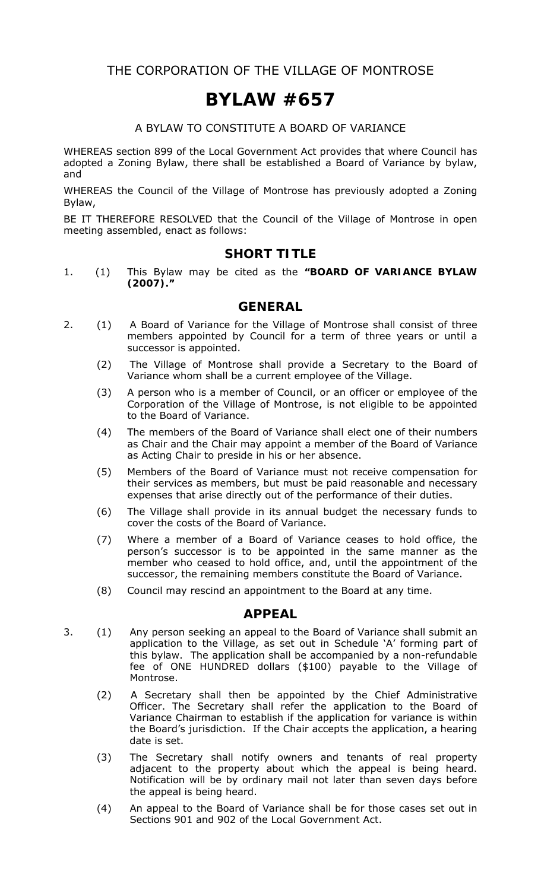THE CORPORATION OF THE VILLAGE OF MONTROSE

# **BYLAW #657**

#### A BYLAW TO CONSTITUTE A BOARD OF VARIANCE

WHEREAS section 899 of the *Local Government Act* provides that where Council has adopted a Zoning Bylaw, there shall be established a Board of Variance by bylaw, and

WHEREAS the Council of the Village of Montrose has previously adopted a Zoning Bylaw,

BE IT THEREFORE RESOLVED that the Council of the Village of Montrose in open meeting assembled, enact as follows:

#### **SHORT TITLE**

1. (1) This Bylaw may be cited as the **"BOARD OF VARIANCE BYLAW (2007)."** 

#### **GENERAL**

- 2. (1) A Board of Variance for the Village of Montrose shall consist of three members appointed by Council for a term of three years or until a successor is appointed.
	- (2) The Village of Montrose shall provide a Secretary to the Board of Variance whom shall be a current employee of the Village.
	- (3) A person who is a member of Council, or an officer or employee of the Corporation of the Village of Montrose, is not eligible to be appointed to the Board of Variance.
	- (4) The members of the Board of Variance shall elect one of their numbers as Chair and the Chair may appoint a member of the Board of Variance as Acting Chair to preside in his or her absence.
	- (5) Members of the Board of Variance must not receive compensation for their services as members, but must be paid reasonable and necessary expenses that arise directly out of the performance of their duties.
	- (6) The Village shall provide in its annual budget the necessary funds to cover the costs of the Board of Variance.
	- (7) Where a member of a Board of Variance ceases to hold office, the person's successor is to be appointed in the same manner as the member who ceased to hold office, and, until the appointment of the successor, the remaining members constitute the Board of Variance.
	- (8) Council may rescind an appointment to the Board at any time.

#### **APPEAL**

- 3. (1) Any person seeking an appeal to the Board of Variance shall submit an application to the Village, as set out in Schedule 'A' forming part of this bylaw. The application shall be accompanied by a non-refundable fee of ONE HUNDRED dollars (\$100) payable to the Village of Montrose.
	- (2) A Secretary shall then be appointed by the Chief Administrative Officer. The Secretary shall refer the application to the Board of Variance Chairman to establish if the application for variance is within the Board's jurisdiction. If the Chair accepts the application, a hearing date is set.
	- (3) The Secretary shall notify owners and tenants of real property adjacent to the property about which the appeal is being heard. Notification will be by ordinary mail not later than seven days before the appeal is being heard.
	- (4) An appeal to the Board of Variance shall be for those cases set out in Sections 901 and 902 of the *Local Government Act*.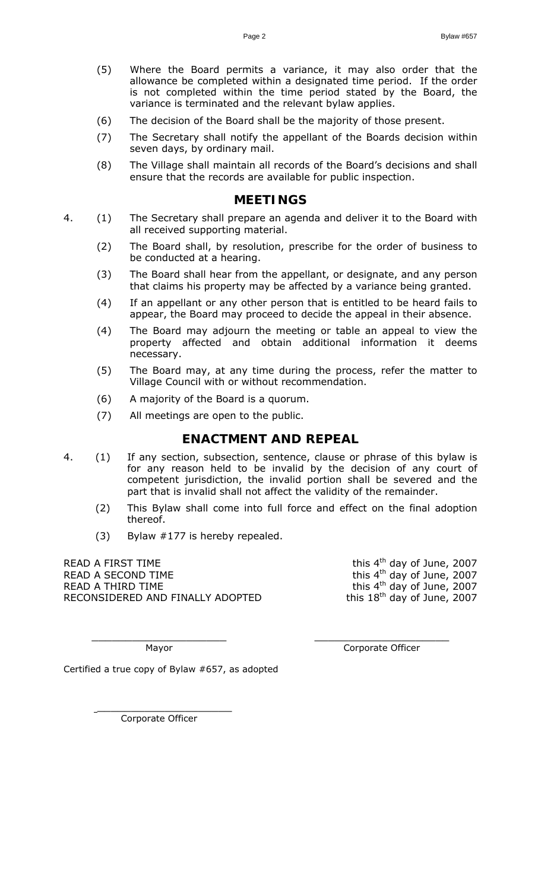- (5) Where the Board permits a variance, it may also order that the allowance be completed within a designated time period. If the order is not completed within the time period stated by the Board, the variance is terminated and the relevant bylaw applies.
- (6) The decision of the Board shall be the majority of those present.
- (7) The Secretary shall notify the appellant of the Boards decision within seven days, by ordinary mail.
- (8) The Village shall maintain all records of the Board's decisions and shall ensure that the records are available for public inspection.

#### **MEETINGS**

- 4. (1) The Secretary shall prepare an agenda and deliver it to the Board with all received supporting material.
	- (2) The Board shall, by resolution, prescribe for the order of business to be conducted at a hearing.
	- (3) The Board shall hear from the appellant, or designate, and any person that claims his property may be affected by a variance being granted.
	- (4) If an appellant or any other person that is entitled to be heard fails to appear, the Board may proceed to decide the appeal in their absence.
	- (4) The Board may adjourn the meeting or table an appeal to view the property affected and obtain additional information it deems necessary.
	- (5) The Board may, at any time during the process, refer the matter to Village Council with or without recommendation.
	- (6) A majority of the Board is a quorum.
	- (7) All meetings are open to the public.

#### **ENACTMENT AND REPEAL**

4. (1) If any section, subsection, sentence, clause or phrase of this bylaw is for any reason held to be invalid by the decision of any court of competent jurisdiction, the invalid portion shall be severed and the part that is invalid shall not affect the validity of the remainder.

 $\overline{\phantom{a}}$  ,  $\overline{\phantom{a}}$  ,  $\overline{\phantom{a}}$  ,  $\overline{\phantom{a}}$  ,  $\overline{\phantom{a}}$  ,  $\overline{\phantom{a}}$  ,  $\overline{\phantom{a}}$  ,  $\overline{\phantom{a}}$  ,  $\overline{\phantom{a}}$  ,  $\overline{\phantom{a}}$  ,  $\overline{\phantom{a}}$  ,  $\overline{\phantom{a}}$  ,  $\overline{\phantom{a}}$  ,  $\overline{\phantom{a}}$  ,  $\overline{\phantom{a}}$  ,  $\overline{\phantom{a}}$ 

- (2) This Bylaw shall come into full force and effect on the final adoption thereof.
- (3) Bylaw #177 is hereby repealed.

READ A FIRST TIME  $\mathsf{t}^{\text{th}}$  day of June, 2007 READ A SECOND TIME  $R$  and  $\frac{1}{2}$  and  $\frac{1}{2}$  and  $\frac{1}{2}$  and  $\frac{1}{2}$  and  $\frac{1}{2}$  and  $\frac{1}{2}$  and  $\frac{1}{2}$  and  $\frac{1}{2}$  and  $\frac{1}{2}$  and  $\frac{1}{2}$  and  $\frac{1}{2}$  and  $\frac{1}{2}$  and  $\frac{1}{2}$  and  $\frac{1}{2}$  an READ A THIRD TIME<br>READ A THIRD TIME<br>RECONSIDERED AND FINALLY ADOPTED this 18<sup>th</sup> day of June, 2007 RECONSIDERED AND FINALLY ADOPTED

Mayor **Mayor** Corporate Officer

Certified a true copy of Bylaw #657, as adopted

Corporate Officer

 $\overline{\phantom{a}}$  , which is a set of the set of the set of the set of the set of the set of the set of the set of the set of the set of the set of the set of the set of the set of the set of the set of the set of the set of th